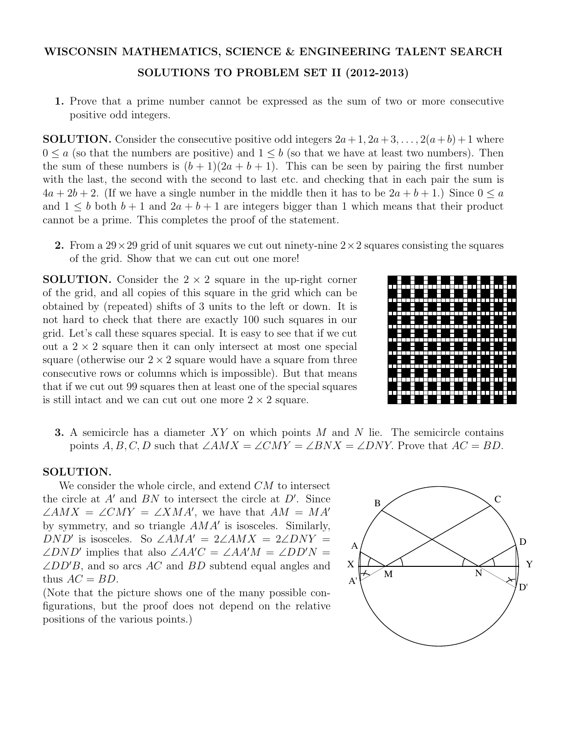## WISCONSIN MATHEMATICS, SCIENCE & ENGINEERING TALENT SEARCH SOLUTIONS TO PROBLEM SET II (2012-2013)

1. Prove that a prime number cannot be expressed as the sum of two or more consecutive positive odd integers.

**SOLUTION.** Consider the consecutive positive odd integers  $2a+1$ ,  $2a+3$ , ...,  $2(a+b)+1$  where  $0 \le a$  (so that the numbers are positive) and  $1 \le b$  (so that we have at least two numbers). Then the sum of these numbers is  $(b+1)(2a+b+1)$ . This can be seen by pairing the first number with the last, the second with the second to last etc. and checking that in each pair the sum is  $4a + 2b + 2$ . (If we have a single number in the middle then it has to be  $2a + b + 1$ .) Since  $0 \le a$ and  $1 \leq b$  both  $b+1$  and  $2a+b+1$  are integers bigger than 1 which means that their product cannot be a prime. This completes the proof of the statement.

2. From a  $29 \times 29$  grid of unit squares we cut out ninety-nine  $2 \times 2$  squares consisting the squares of the grid. Show that we can cut out one more!

**SOLUTION.** Consider the  $2 \times 2$  square in the up-right corner of the grid, and all copies of this square in the grid which can be obtained by (repeated) shifts of 3 units to the left or down. It is not hard to check that there are exactly 100 such squares in our grid. Let's call these squares special. It is easy to see that if we cut out a  $2 \times 2$  square then it can only intersect at most one special square (otherwise our  $2 \times 2$  square would have a square from three consecutive rows or columns which is impossible). But that means that if we cut out 99 squares then at least one of the special squares is still intact and we can cut out one more  $2 \times 2$  square.



3. A semicircle has a diameter *XY* on which points *M* and *N* lie. The semicircle contains points *A, B, C, D* such that  $\angle AMX = \angle CMY = \angle BNX = \angle DNY$ . Prove that  $AC = BD$ .

## SOLUTION.

We consider the whole circle, and extend *CM* to intersect the circle at  $A'$  and  $BN$  to intersect the circle at  $D'$ . Since  $\angle AMX = \angle CMY = \angle XMA'$ , we have that  $AM = MA'$ by symmetry, and so triangle  $AMA'$  is isosceles. Similarly, *DND*<sup> $\prime$ </sup> is isosceles. So  $\angle AMA' = 2\angle AMX = 2\angle DNY =$  $\angle DND'$  implies that also  $\angle AA'C = \angle AA'M = \angle DD'N =$  $\angle DD'B$ , and so arcs *AC* and *BD* subtend equal angles and thus  $AC = BD$ .

(Note that the picture shows one of the many possible configurations, but the proof does not depend on the relative positions of the various points.)